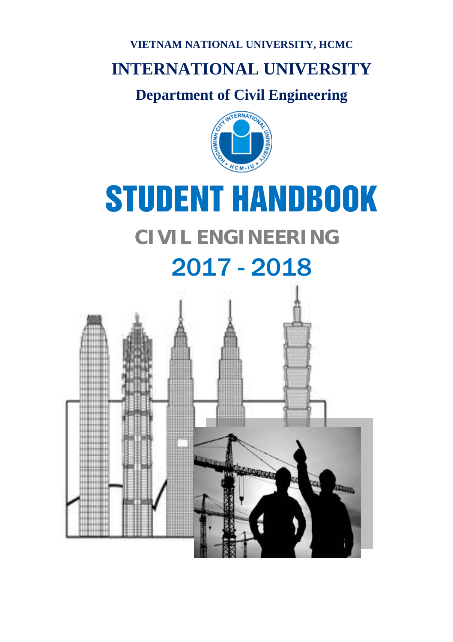# **VIETNAM NATIONAL UNIVERSITY, HCMC**

# **INTERNATIONAL UNIVERSITY**

# **Department of Civil Engineering**



# STUDENT HANDBOOK

# **CIVIL ENGINEERING**

# 2017 - 2018

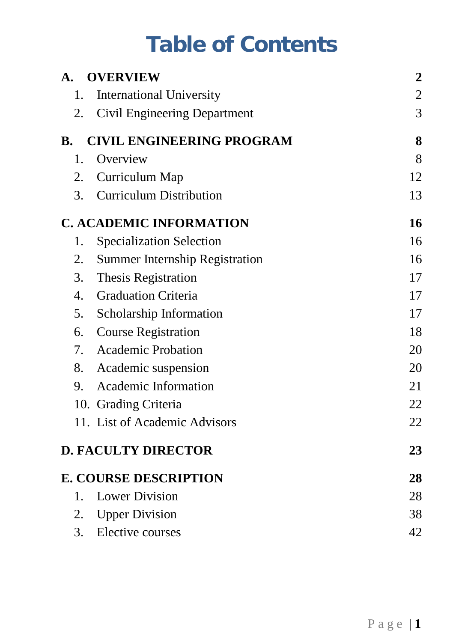# **Table of Contents**

| A.        | <b>OVERVIEW</b>                       | $\overline{2}$ |
|-----------|---------------------------------------|----------------|
| 1.        | <b>International University</b>       | $\overline{c}$ |
| 2.        | Civil Engineering Department          | 3              |
| <b>B.</b> | <b>CIVIL ENGINEERING PROGRAM</b>      | 8              |
| 1.        | Overview                              | 8              |
| 2.        | Curriculum Map                        | 12             |
| 3.        | <b>Curriculum Distribution</b>        | 13             |
|           | <b>C. ACADEMIC INFORMATION</b>        | 16             |
| 1.        | <b>Specialization Selection</b>       | 16             |
| 2.        | <b>Summer Internship Registration</b> | 16             |
|           | 3. Thesis Registration                | 17             |
| 4.        | <b>Graduation Criteria</b>            | 17             |
| 5.        | <b>Scholarship Information</b>        | 17             |
|           | 6. Course Registration                | 18             |
|           | 7. Academic Probation                 | 20             |
|           | 8. Academic suspension                | 20             |
| 9.        | Academic Information                  | 21             |
|           | 10. Grading Criteria                  | 22             |
|           | 11. List of Academic Advisors         | 22             |
|           | <b>D. FACULTY DIRECTOR</b>            | 23             |
|           | <b>E. COURSE DESCRIPTION</b>          | 28             |
| 1.        | <b>Lower Division</b>                 | 28             |
|           | 2. Upper Division                     | 38             |
| 3.        | Elective courses                      | 42             |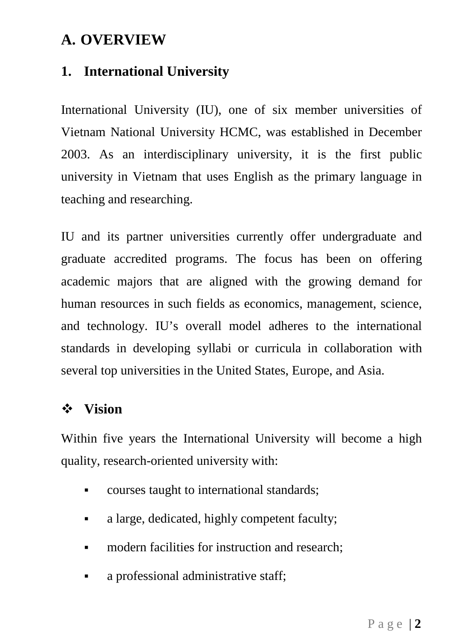# <span id="page-2-0"></span>**A. OVERVIEW**

# <span id="page-2-1"></span>**1. International University**

International University (IU), one of six member universities of Vietnam National University HCMC, was established in December 2003. As an interdisciplinary university, it is the first public university in Vietnam that uses English as the primary language in teaching and researching.

IU and its partner universities currently offer undergraduate and graduate accredited programs. The focus has been on offering academic majors that are aligned with the growing demand for human resources in such fields as economics, management, science, and technology. IU's overall model adheres to the international standards in developing syllabi or curricula in collaboration with several top universities in the United States, Europe, and Asia.

# **Vision**

Within five years the International University will become a high quality, research-oriented university with:

- courses taught to international standards;
- a large, dedicated, highly competent faculty;
- **modern facilities for instruction and research:**
- a professional administrative staff;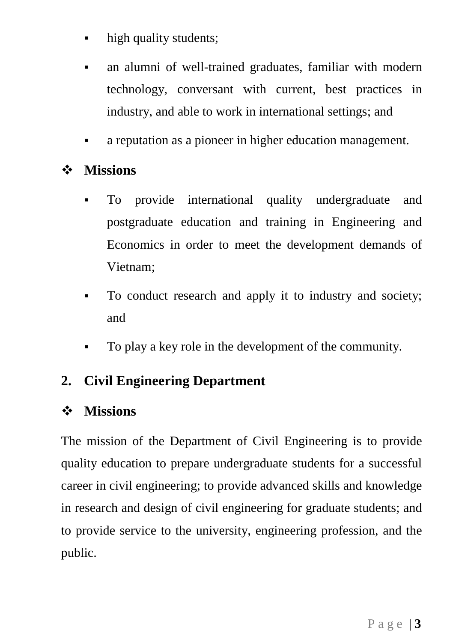- high quality students:
- an alumni of well-trained graduates, familiar with modern technology, conversant with current, best practices in industry, and able to work in international settings; and
- a reputation as a pioneer in higher education management.

# **Missions**

- To provide international quality undergraduate and postgraduate education and training in Engineering and Economics in order to meet the development demands of Vietnam;
- To conduct research and apply it to industry and society; and
- To play a key role in the development of the community.

# <span id="page-3-0"></span>**2. Civil Engineering Department**

# **Missions**

The mission of the Department of Civil Engineering is to provide quality education to prepare undergraduate students for a successful career in civil engineering; to provide advanced skills and knowledge in research and design of civil engineering for graduate students; and to provide service to the university, engineering profession, and the public.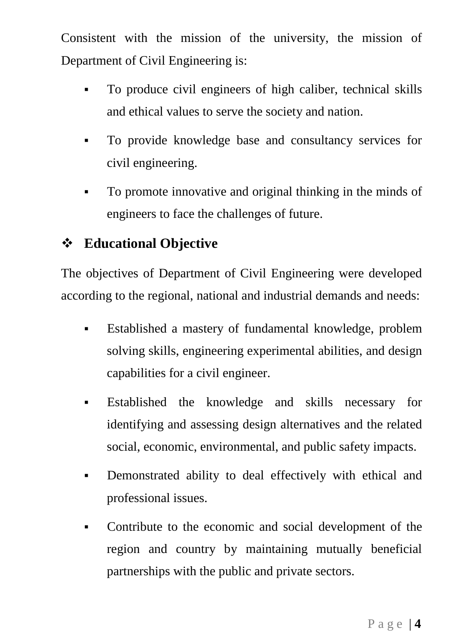Consistent with the mission of the university, the mission of Department of Civil Engineering is:

- To produce civil engineers of high caliber, technical skills and ethical values to serve the society and nation.
- To provide knowledge base and consultancy services for civil engineering.
- To promote innovative and original thinking in the minds of engineers to face the challenges of future.

# **Educational Objective**

The objectives of Department of Civil Engineering were developed according to the regional, national and industrial demands and needs:

- Established a mastery of fundamental knowledge, problem solving skills, engineering experimental abilities, and design capabilities for a civil engineer.
- Established the knowledge and skills necessary for identifying and assessing design alternatives and the related social, economic, environmental, and public safety impacts.
- Demonstrated ability to deal effectively with ethical and professional issues.
- Contribute to the economic and social development of the region and country by maintaining mutually beneficial partnerships with the public and private sectors.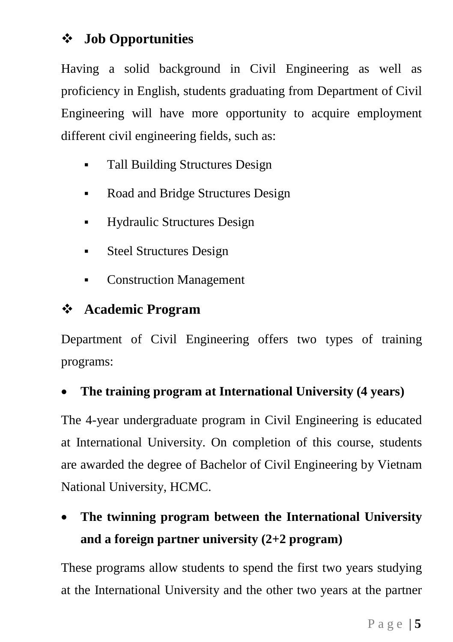# **Job Opportunities**

Having a solid background in Civil Engineering as well as proficiency in English, students graduating from Department of Civil Engineering will have more opportunity to acquire employment different civil engineering fields, such as:

- Tall Building Structures Design
- Road and Bridge Structures Design
- Hydraulic Structures Design
- Steel Structures Design
- Construction Management

# **Academic Program**

Department of Civil Engineering offers two types of training programs:

# • **The training program at International University (4 years)**

The 4-year undergraduate program in Civil Engineering is educated at International University. On completion of this course, students are awarded the degree of Bachelor of Civil Engineering by Vietnam National University, HCMC.

# • **The twinning program between the International University and a foreign partner university (2+2 program)**

These programs allow students to spend the first two years studying at the International University and the other two years at the partner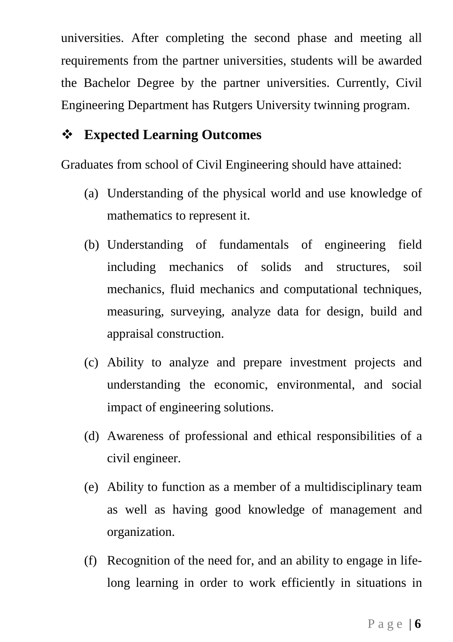universities. After completing the second phase and meeting all requirements from the partner universities, students will be awarded the Bachelor Degree by the partner universities. Currently, Civil Engineering Department has Rutgers University twinning program.

# **Expected Learning Outcomes**

Graduates from school of Civil Engineering should have attained:

- (a) Understanding of the physical world and use knowledge of mathematics to represent it.
- (b) Understanding of fundamentals of engineering field including mechanics of solids and structures, soil mechanics, fluid mechanics and computational techniques, measuring, surveying, analyze data for design, build and appraisal construction.
- (c) Ability to analyze and prepare investment projects and understanding the economic, environmental, and social impact of engineering solutions.
- (d) Awareness of professional and ethical responsibilities of a civil engineer.
- (e) Ability to function as a member of a multidisciplinary team as well as having good knowledge of management and organization.
- (f) Recognition of the need for, and an ability to engage in lifelong learning in order to work efficiently in situations in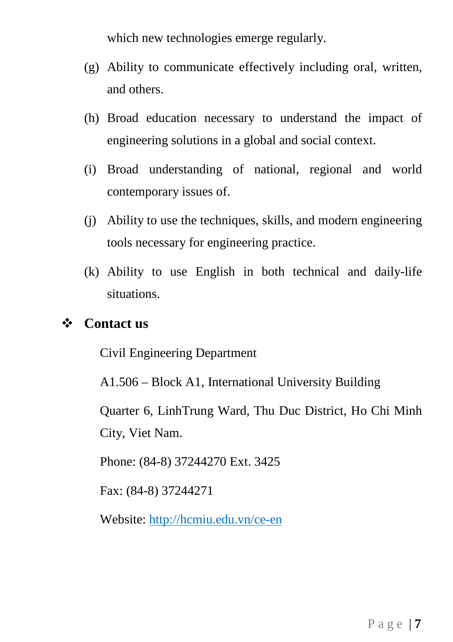which new technologies emerge regularly.

- (g) Ability to communicate effectively including oral, written, and others.
- (h) Broad education necessary to understand the impact of engineering solutions in a global and social context.
- (i) Broad understanding of national, regional and world contemporary issues of.
- (j) Ability to use the techniques, skills, and modern engineering tools necessary for engineering practice.
- (k) Ability to use English in both technical and daily-life situations.

# **Contact us**

Civil Engineering Department

A1.506 – Block A1, International University Building

Quarter 6, LinhTrung Ward, Thu Duc District, Ho Chi Minh City, Viet Nam.

Phone: (84-8) 37244270 Ext. 3425

Fax: (84-8) 37244271

Website: http://hcmiu.edu.vn/ce-en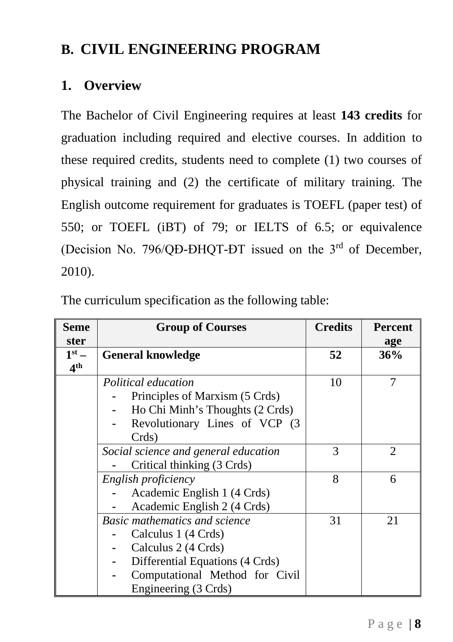# <span id="page-8-0"></span>**B. CIVIL ENGINEERING PROGRAM**

# <span id="page-8-1"></span>**1. Overview**

The Bachelor of Civil Engineering requires at least **143 credits** for graduation including required and elective courses. In addition to these required credits, students need to complete (1) two courses of physical training and (2) the certificate of military training. The English outcome requirement for graduates is TOEFL (paper test) of 550; or TOEFL (iBT) of 79; or IELTS of 6.5; or equivalence (Decision No. 796/QĐ-ĐHQT-ĐT issued on the 3rd of December, 2010).

The curriculum specification as the following table:

| Seme            | <b>Group of Courses</b>              | <b>Credits</b> | <b>Percent</b> |
|-----------------|--------------------------------------|----------------|----------------|
| ster            |                                      |                | age            |
| $1st$ –         | <b>General knowledge</b>             | 52             | 36%            |
| 4 <sup>th</sup> |                                      |                |                |
|                 | Political education                  | 10             |                |
|                 | Principles of Marxism (5 Crds)       |                |                |
|                 | Ho Chi Minh's Thoughts (2 Crds)      |                |                |
|                 | Revolutionary Lines of VCP (3)       |                |                |
|                 | Crds)                                |                |                |
|                 | Social science and general education | 3              | 2              |
|                 | Critical thinking (3 Crds)           |                |                |
|                 | English proficiency                  | 8              | 6              |
|                 | Academic English 1 (4 Crds)          |                |                |
|                 | Academic English 2 (4 Crds)          |                |                |
|                 | <b>Basic mathematics and science</b> | 31             | 21             |
|                 | Calculus 1 (4 Crds)                  |                |                |
|                 | Calculus 2 (4 Crds)                  |                |                |
|                 | Differential Equations (4 Crds)      |                |                |
|                 | Computational Method for Civil       |                |                |
|                 | Engineering (3 Crds)                 |                |                |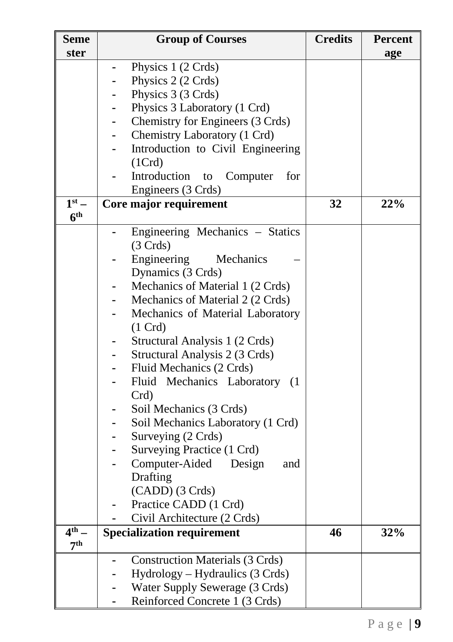| <b>Seme</b><br>ster | <b>Group of Courses</b>                | <b>Credits</b> | <b>Percent</b><br>age |
|---------------------|----------------------------------------|----------------|-----------------------|
|                     | Physics 1 (2 Crds)                     |                |                       |
|                     | Physics 2 (2 Crds)                     |                |                       |
|                     | Physics 3 (3 Crds)                     |                |                       |
|                     | Physics 3 Laboratory (1 Crd)           |                |                       |
|                     | Chemistry for Engineers (3 Crds)       |                |                       |
|                     | Chemistry Laboratory (1 Crd)           |                |                       |
|                     | Introduction to Civil Engineering      |                |                       |
|                     | (1Crd)                                 |                |                       |
|                     | Introduction to<br>for<br>Computer     |                |                       |
|                     |                                        |                |                       |
| $1st$ –             | Engineers (3 Crds)                     | 32             |                       |
| 6 <sup>th</sup>     | Core major requirement                 |                | 22%                   |
|                     | Engineering Mechanics - Statics        |                |                       |
|                     | (3 C r ds)                             |                |                       |
|                     | Engineering<br>Mechanics               |                |                       |
|                     | Dynamics (3 Crds)                      |                |                       |
|                     | Mechanics of Material 1 (2 Crds)       |                |                       |
|                     | Mechanics of Material 2 (2 Crds)       |                |                       |
|                     | Mechanics of Material Laboratory       |                |                       |
|                     | $(1 \text{ Crd})$                      |                |                       |
|                     | Structural Analysis 1 (2 Crds)         |                |                       |
|                     | Structural Analysis 2 (3 Crds)         |                |                       |
|                     | Fluid Mechanics (2 Crds)               |                |                       |
|                     | Fluid Mechanics Laboratory (1          |                |                       |
|                     | $Crd$ )                                |                |                       |
|                     | Soil Mechanics (3 Crds)                |                |                       |
|                     | Soil Mechanics Laboratory (1 Crd)      |                |                       |
|                     | Surveying (2 Crds)                     |                |                       |
|                     | Surveying Practice (1 Crd)             |                |                       |
|                     | Computer-Aided Design<br>and           |                |                       |
|                     | Drafting                               |                |                       |
|                     | (CADD) (3 Crds)                        |                |                       |
|                     | Practice CADD (1 Crd)                  |                |                       |
|                     | Civil Architecture (2 Crds)            |                |                       |
| 4 <sup>th</sup>     | <b>Specialization requirement</b>      | 46             | 32%                   |
| 7 <sup>th</sup>     |                                        |                |                       |
|                     | <b>Construction Materials (3 Crds)</b> |                |                       |
|                     | Hydrology – Hydraulics (3 Crds)        |                |                       |
|                     | Water Supply Sewerage (3 Crds)         |                |                       |
|                     | Reinforced Concrete 1 (3 Crds)         |                |                       |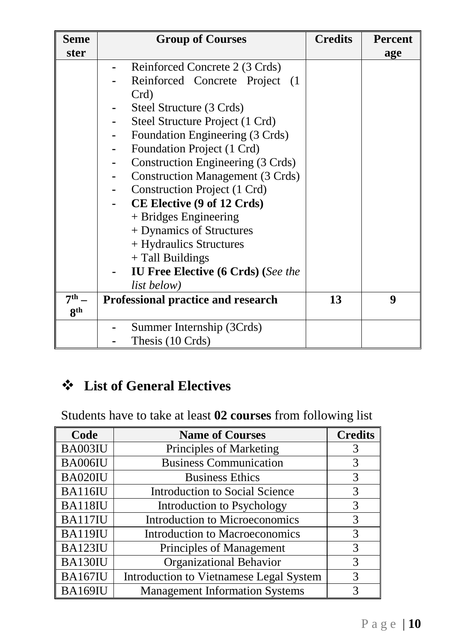| <b>Seme</b>     | <b>Group of Courses</b>                   | <b>Credits</b> | <b>Percent</b> |
|-----------------|-------------------------------------------|----------------|----------------|
| ster            |                                           |                | age            |
|                 | Reinforced Concrete 2 (3 Crds)            |                |                |
|                 | Reinforced Concrete Project (1            |                |                |
|                 | Crd)                                      |                |                |
|                 | Steel Structure (3 Crds)                  |                |                |
|                 | Steel Structure Project (1 Crd)           |                |                |
|                 | Foundation Engineering (3 Crds)           |                |                |
|                 | Foundation Project (1 Crd)                |                |                |
|                 | Construction Engineering (3 Crds)         |                |                |
|                 | <b>Construction Management (3 Crds)</b>   |                |                |
|                 | Construction Project (1 Crd)              |                |                |
|                 | CE Elective (9 of 12 Crds)                |                |                |
|                 | + Bridges Engineering                     |                |                |
|                 | + Dynamics of Structures                  |                |                |
|                 | + Hydraulics Structures                   |                |                |
|                 | + Tall Buildings                          |                |                |
|                 | <b>IU Free Elective (6 Crds) (See the</b> |                |                |
|                 | list below)                               |                |                |
| 7 <sup>th</sup> | Professional practice and research        | 13             | 9              |
| 8 <sup>th</sup> |                                           |                |                |
|                 | Summer Internship (3Crds)                 |                |                |
|                 | Thesis (10 Crds)                          |                |                |

# **List of General Electives**

Students have to take at least **02 courses** from following list

| Code           | <b>Name of Courses</b>                  | <b>Credits</b> |
|----------------|-----------------------------------------|----------------|
| BA003IU        | Principles of Marketing                 | 3              |
| BA006IU        | <b>Business Communication</b>           | 3              |
| BA020IU        | <b>Business Ethics</b>                  | 3              |
| <b>BA116IU</b> | <b>Introduction to Social Science</b>   | 3              |
| BA118IU        | Introduction to Psychology              |                |
| <b>BA117IU</b> | <b>Introduction to Microeconomics</b>   |                |
| <b>BA119IU</b> | <b>Introduction to Macroeconomics</b>   |                |
| <b>BA123IU</b> | Principles of Management                |                |
| BA130IU        | Organizational Behavior                 |                |
| BA167IU        | Introduction to Vietnamese Legal System | 3              |
| BA169IU        | <b>Management Information Systems</b>   |                |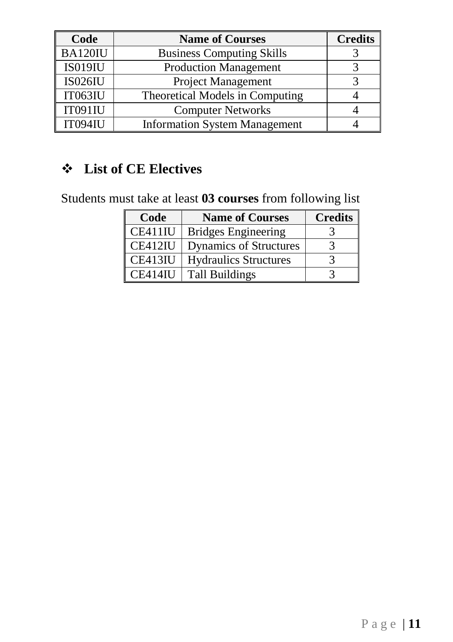| Code           | <b>Name of Courses</b>               | <b>Credits</b> |
|----------------|--------------------------------------|----------------|
| BA120IU        | <b>Business Computing Skills</b>     |                |
| <b>IS019IU</b> | <b>Production Management</b>         |                |
| <b>IS026IU</b> | Project Management                   |                |
| IT063IU        | Theoretical Models in Computing      |                |
| IT091IU        | <b>Computer Networks</b>             |                |
| IT094IU        | <b>Information System Management</b> |                |

# **List of CE Electives**

Students must take at least **03 courses** from following list

| Code    | <b>Name of Courses</b>        | <b>Credits</b> |
|---------|-------------------------------|----------------|
| CE411IU | <b>Bridges Engineering</b>    |                |
| CE412IU | <b>Dynamics of Structures</b> |                |
| CE413IU | <b>Hydraulics Structures</b>  |                |
| CE414IU | Tall Buildings                |                |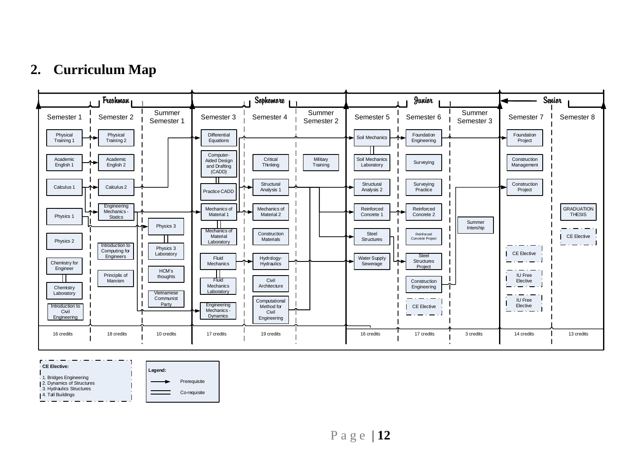# **2. Curriculum Map**



<span id="page-12-0"></span>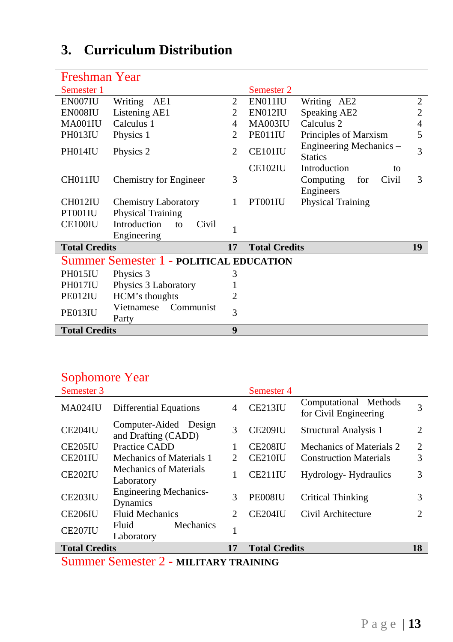# <span id="page-13-0"></span>**3. Curriculum Distribution**

| Freshman Year                                  |                |                      |                                           |                |  |  |
|------------------------------------------------|----------------|----------------------|-------------------------------------------|----------------|--|--|
| Semester 1                                     |                | Semester 2           |                                           |                |  |  |
| EN007IU<br>Writing<br>AE1                      | 2              | EN011IU              | Writing AE2                               | 2              |  |  |
| Listening AE1<br>EN008IU                       | 2              | EN012IU              | Speaking AE2                              | $\overline{c}$ |  |  |
| Calculus 1<br>MA001IU                          | 4              | <b>MA003IU</b>       | Calculus <sub>2</sub>                     | 4              |  |  |
| PH013IU<br>Physics 1                           | 2              | PE011IU              | Principles of Marxism                     | 5              |  |  |
| PH014IU<br>Physics 2                           | $\mathfrak{D}$ | CE101IU              | Engineering Mechanics –<br><b>Statics</b> |                |  |  |
|                                                |                | CE102IU              | Introduction<br>to                        |                |  |  |
| CH011IU<br>Chemistry for Engineer              | 3              |                      | Computing<br>Civil<br>for                 | 3              |  |  |
|                                                |                |                      | Engineers                                 |                |  |  |
| CH012IU<br><b>Chemistry Laboratory</b>         | 1              | PT001IU              | <b>Physical Training</b>                  |                |  |  |
| Physical Training<br>PT001IU                   |                |                      |                                           |                |  |  |
| Introduction<br>CE100IU<br>Civil<br>to         | 1              |                      |                                           |                |  |  |
| Engineering                                    |                |                      |                                           |                |  |  |
| <b>Total Credits</b>                           | 17             | <b>Total Credits</b> |                                           | 19             |  |  |
| <b>Summer Semester 1 - POLITICAL EDUCATION</b> |                |                      |                                           |                |  |  |
| PH015IU<br>Physics 3                           | 3              |                      |                                           |                |  |  |
| PH017IU<br>Physics 3 Laboratory                |                |                      |                                           |                |  |  |
| PE012IU<br>HCM's thoughts                      | 2              |                      |                                           |                |  |  |
| Communist<br>Vietnamese<br>PE013IU             | 3              |                      |                                           |                |  |  |
| Party                                          |                |                      |                                           |                |  |  |
| <b>Total Credits</b>                           | 9              |                      |                                           |                |  |  |

| Sophomore Year       |                                                                                                                                       |                               |                      |                                                |                             |  |  |
|----------------------|---------------------------------------------------------------------------------------------------------------------------------------|-------------------------------|----------------------|------------------------------------------------|-----------------------------|--|--|
| Semester 3           |                                                                                                                                       |                               | Semester 4           |                                                |                             |  |  |
| MA024IU              | <b>Differential Equations</b>                                                                                                         | 4                             | <b>CE213IU</b>       | Computational Methods<br>for Civil Engineering | 3                           |  |  |
| CE204IU              | Computer-Aided Design<br>and Drafting (CADD)                                                                                          | 3                             | CE209IU              | Structural Analysis 1                          | 2                           |  |  |
| CE <sub>205</sub> IU | Practice CADD                                                                                                                         |                               | CE <sub>208</sub> IU | Mechanics of Materials 2                       | 2                           |  |  |
| CE201IU              | Mechanics of Materials 1                                                                                                              |                               | CE210IU              | <b>Construction Materials</b>                  | 3                           |  |  |
| <b>CE202IU</b>       | <b>Mechanics of Materials</b><br>Laboratory                                                                                           | 1                             | CE211IU              | Hydrology-Hydraulics                           | 3                           |  |  |
| <b>CE203IU</b>       | <b>Engineering Mechanics-</b><br>Dynamics                                                                                             | 3                             | PE008IU              | Critical Thinking                              | 3                           |  |  |
| <b>CE206IU</b>       | <b>Fluid Mechanics</b>                                                                                                                | $\mathfrak{D}_{\mathfrak{p}}$ | CE204IU              | Civil Architecture                             | $\mathcal{D}_{\mathcal{A}}$ |  |  |
| CE207IU              | Mechanics<br>Fluid<br>Laboratory                                                                                                      |                               |                      |                                                |                             |  |  |
| <b>Total Credits</b> |                                                                                                                                       |                               | <b>Total Credits</b> |                                                | 18                          |  |  |
|                      | $\alpha$ $\alpha$ $\alpha$<br>$\frac{1}{2}$ and $\frac{1}{2}$ and $\frac{1}{2}$ and $\frac{1}{2}$ and $\frac{1}{2}$ and $\frac{1}{2}$ |                               |                      |                                                |                             |  |  |

Summer Semester 2 - **MILITARY TRAINING**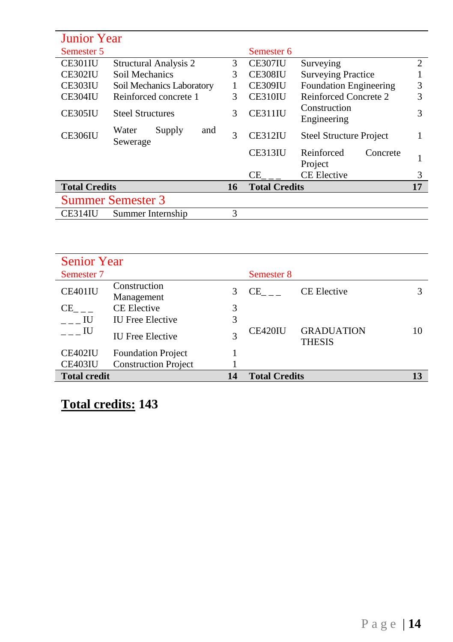| <b>Junior Year</b>       |                                    |    |                      |                                   |                |
|--------------------------|------------------------------------|----|----------------------|-----------------------------------|----------------|
| Semester 5               |                                    |    | Semester 6           |                                   |                |
| CE301IU                  | <b>Structural Analysis 2</b>       | 3  | CE307IU              | Surveying                         | $\overline{c}$ |
| <b>CE302IU</b>           | Soil Mechanics                     | 3  | <b>CE308IU</b>       | <b>Surveying Practice</b>         |                |
| <b>CE303IU</b>           | Soil Mechanics Laboratory          |    | CE309IU              | <b>Foundation Engineering</b>     | 3              |
| CE304IU                  | Reinforced concrete 1              | 3  | CE310IU              | Reinforced Concrete 2             | 3              |
| <b>CE305IU</b>           | <b>Steel Structures</b>            | 3  | CE311IU              | Construction<br>Engineering       | 3              |
| <b>CE306IU</b>           | Supply<br>and<br>Water<br>Sewerage | 3  | <b>CE312IU</b>       | <b>Steel Structure Project</b>    |                |
|                          |                                    |    | CE313IU              | Reinforced<br>Concrete<br>Project |                |
|                          |                                    |    | CE.                  | <b>CE Elective</b>                | 3              |
| <b>Total Credits</b>     |                                    | 16 | <b>Total Credits</b> |                                   | 17             |
| <b>Summer Semester 3</b> |                                    |    |                      |                                   |                |
| CE314IU                  | Summer Internship                  | 3  |                      |                                   |                |

| <b>Senior Year</b>  |                             |    |                                                                                                                                                                                                                                |                                    |    |
|---------------------|-----------------------------|----|--------------------------------------------------------------------------------------------------------------------------------------------------------------------------------------------------------------------------------|------------------------------------|----|
| Semester 7          |                             |    | Semester 8                                                                                                                                                                                                                     |                                    |    |
| CE401IU             | Construction<br>Management  | 3  | CE and the control of the control of the control of the control of the control of the control of the control of the control of the control of the control of the control of the control of the control of the control of the c | <b>CE Elective</b>                 |    |
| CE –                | <b>CE Elective</b>          | 3  |                                                                                                                                                                                                                                |                                    |    |
| - IU                | <b>IU Free Elective</b>     | 3  |                                                                                                                                                                                                                                |                                    |    |
| <b>IU</b>           | <b>IU Free Elective</b>     |    | CE420IU                                                                                                                                                                                                                        | <b>GRADUATION</b><br><b>THESIS</b> | 10 |
| CE402IU             | <b>Foundation Project</b>   |    |                                                                                                                                                                                                                                |                                    |    |
| CE403IU             | <b>Construction Project</b> |    |                                                                                                                                                                                                                                |                                    |    |
| <b>Total credit</b> |                             | 14 | <b>Total Credits</b>                                                                                                                                                                                                           |                                    | 13 |

**Total credits: 143**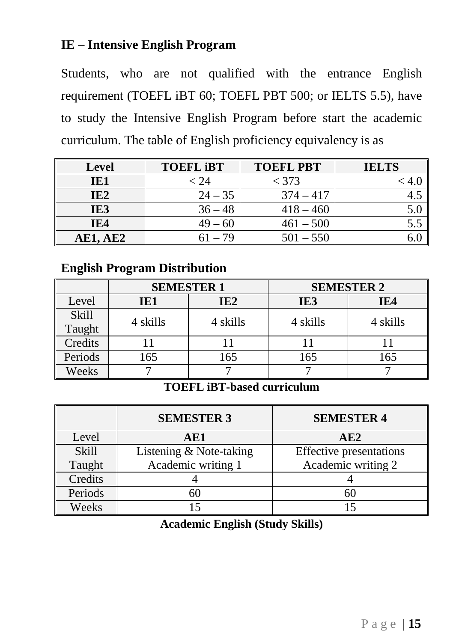# **IE – Intensive English Program**

Students, who are not qualified with the entrance English requirement (TOEFL iBT 60; TOEFL PBT 500; or IELTS 5.5), have to study the Intensive English Program before start the academic curriculum. The table of English proficiency equivalency is as

| <b>Level</b>    | <b>TOEFL IBT</b> | <b>TOEFL PBT</b> | <b>IELTS</b> |
|-----------------|------------------|------------------|--------------|
| IE1             | $< 24\,$         | $<$ 373          |              |
| IE <sub>2</sub> | $24 - 35$        | $374 - 417$      |              |
| IE3             | $36 - 48$        | $418 - 460$      |              |
| IE4             | $49 - 60$        | $461 - 500$      |              |
| <b>AE1, AE2</b> | 61 – 79          | $501 - 550$      |              |

# **English Program Distribution**

|              | <b>SEMESTER 1</b> |                 | <b>SEMESTER 2</b> |          |
|--------------|-------------------|-----------------|-------------------|----------|
| Level        | IE1               | IE <sub>2</sub> | IE3               | IE4      |
| <b>Skill</b> | 4 skills          | 4 skills        | 4 skills          | 4 skills |
| Taught       |                   |                 |                   |          |
| Credits      |                   |                 |                   |          |
| Periods      | 165               | 165             | 165               | 165      |
| Weeks        |                   |                 |                   |          |

### **TOEFL iBT-based curriculum**

|              | <b>SEMESTER 3</b>       | <b>SEMESTER 4</b>              |
|--------------|-------------------------|--------------------------------|
| Level        | AE1                     | AE2                            |
| <b>Skill</b> | Listening & Note-taking | <b>Effective presentations</b> |
| Taught       | Academic writing 1      | Academic writing 2             |
| Credits      |                         |                                |
| Periods      | 60                      |                                |
| Weeks        |                         |                                |

**Academic English (Study Skills)**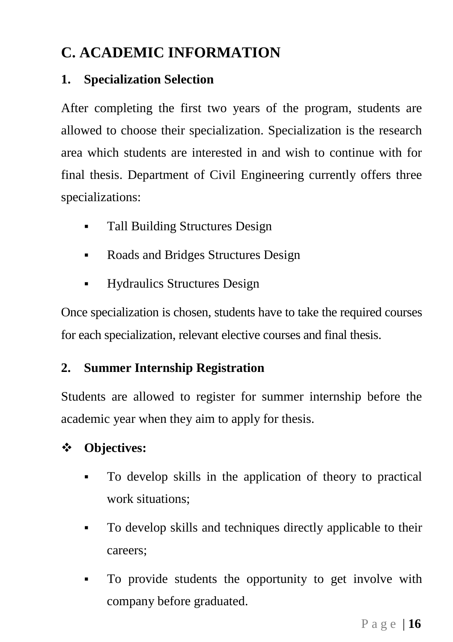# <span id="page-16-0"></span>**C. ACADEMIC INFORMATION**

# <span id="page-16-1"></span>**1. Specialization Selection**

After completing the first two years of the program, students are allowed to choose their specialization. Specialization is the research area which students are interested in and wish to continue with for final thesis. Department of Civil Engineering currently offers three specializations:

- Tall Building Structures Design
- Roads and Bridges Structures Design
- Hydraulics Structures Design

Once specialization is chosen, students have to take the required courses for each specialization, relevant elective courses and final thesis.

# <span id="page-16-2"></span>**2. Summer Internship Registration**

Students are allowed to register for summer internship before the academic year when they aim to apply for thesis.

# **Objectives:**

- To develop skills in the application of theory to practical work situations;
- To develop skills and techniques directly applicable to their careers;
- To provide students the opportunity to get involve with company before graduated.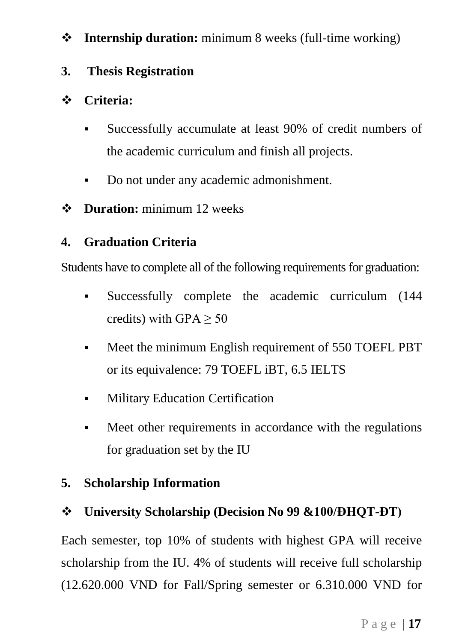# **Internship duration:** minimum 8 weeks (full-time working)

# <span id="page-17-0"></span>**3. Thesis Registration**

# **Criteria:**

- Successfully accumulate at least 90% of credit numbers of the academic curriculum and finish all projects.
- Do not under any academic admonishment.
- $\bullet$  Duration: minimum 12 weeks

# <span id="page-17-1"></span>**4. Graduation Criteria**

Students have to complete all of the following requirements for graduation:

- Successfully complete the academic curriculum (144 credits) with GPA  $> 50$
- Meet the minimum English requirement of 550 TOEFL PBT or its equivalence: 79 TOEFL iBT, 6.5 IELTS
- **Military Education Certification**
- Meet other requirements in accordance with the regulations for graduation set by the IU

# <span id="page-17-2"></span>**5. Scholarship Information**

# **University Scholarship (Decision No 99 &100/ĐHQT-ĐT)**

Each semester, top 10% of students with highest GPA will receive scholarship from the IU. 4% of students will receive full scholarship (12.620.000 VND for Fall/Spring semester or 6.310.000 VND for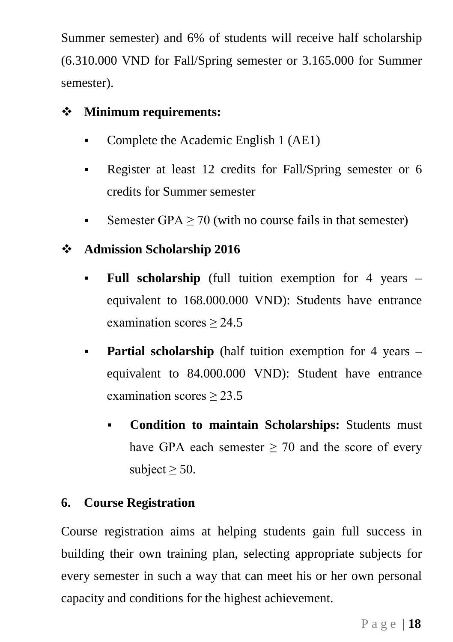Summer semester) and 6% of students will receive half scholarship (6.310.000 VND for Fall/Spring semester or 3.165.000 for Summer semester).

# **Minimum requirements:**

- Complete the Academic English 1 (AE1)
- Register at least 12 credits for Fall/Spring semester or 6 credits for Summer semester
- Semester GPA  $\geq$  70 (with no course fails in that semester)
- **Admission Scholarship 2016**
	- **Full scholarship** (full tuition exemption for 4 years equivalent to 168.000.000 VND): Students have entrance examination scores  $\geq$  24.5
	- **Partial scholarship** (half tuition exemption for 4 years equivalent to 84.000.000 VND): Student have entrance examination scores ≥ 23.5
		- **Condition to maintain Scholarships:** Students must have GPA each semester  $> 70$  and the score of every subject  $>$  50.

# <span id="page-18-0"></span>**6. Course Registration**

Course registration aims at helping students gain full success in building their own training plan, selecting appropriate subjects for every semester in such a way that can meet his or her own personal capacity and conditions for the highest achievement.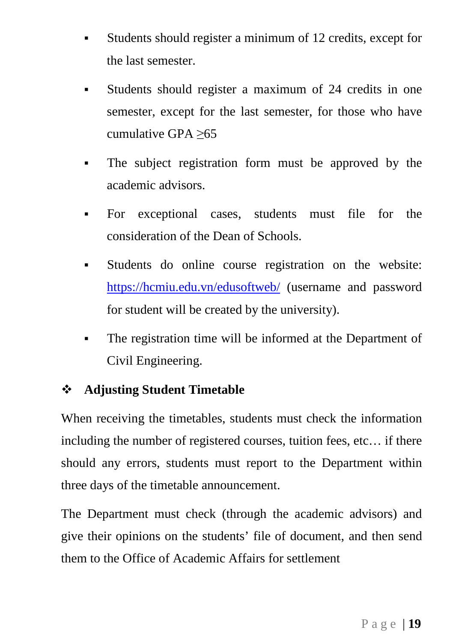- Students should register a minimum of 12 credits, except for the last semester.
- Students should register a maximum of 24 credits in one semester, except for the last semester, for those who have cumulative GPA ≥65
- The subject registration form must be approved by the academic advisors.
- For exceptional cases, students must file for the consideration of the Dean of Schools.
- Students do online course registration on the website: <https://hcmiu.edu.vn/edusoftweb/> (username and password for student will be created by the university).
- The registration time will be informed at the Department of Civil Engineering.

# **Adjusting Student Timetable**

When receiving the timetables, students must check the information including the number of registered courses, tuition fees, etc… if there should any errors, students must report to the Department within three days of the timetable announcement.

The Department must check (through the academic advisors) and give their opinions on the students' file of document, and then send them to the Office of Academic Affairs for settlement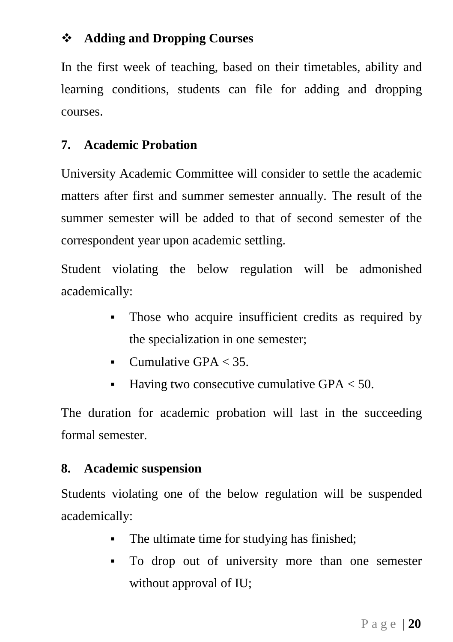# **Adding and Dropping Courses**

In the first week of teaching, based on their timetables, ability and learning conditions, students can file for adding and dropping courses.

# <span id="page-20-0"></span>**7. Academic Probation**

University Academic Committee will consider to settle the academic matters after first and summer semester annually. The result of the summer semester will be added to that of second semester of the correspondent year upon academic settling.

Student violating the below regulation will be admonished academically:

- Those who acquire insufficient credits as required by the specialization in one semester;
- Cumulative GPA  $<$  35.
- **Having two consecutive cumulative GPA**  $<$  **50.**

The duration for academic probation will last in the succeeding formal semester.

### <span id="page-20-1"></span>**8. Academic suspension**

Students violating one of the below regulation will be suspended academically:

- The ultimate time for studying has finished;
- To drop out of university more than one semester without approval of IU;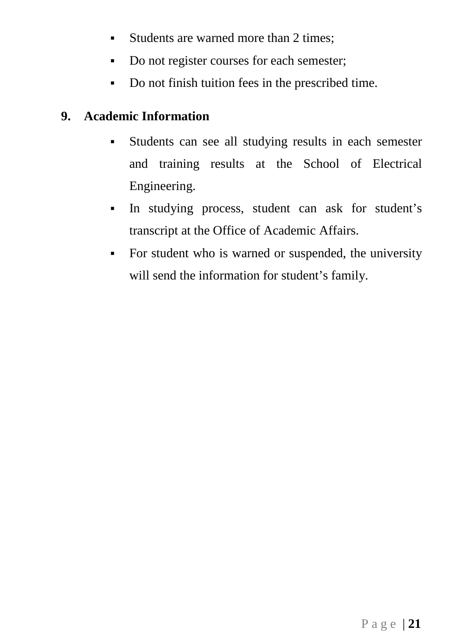- Students are warned more than 2 times:
- Do not register courses for each semester;
- Do not finish tuition fees in the prescribed time.

# <span id="page-21-0"></span>**9. Academic Information**

- Students can see all studying results in each semester and training results at the School of Electrical Engineering.
- In studying process, student can ask for student's transcript at the Office of Academic Affairs.
- For student who is warned or suspended, the university will send the information for student's family.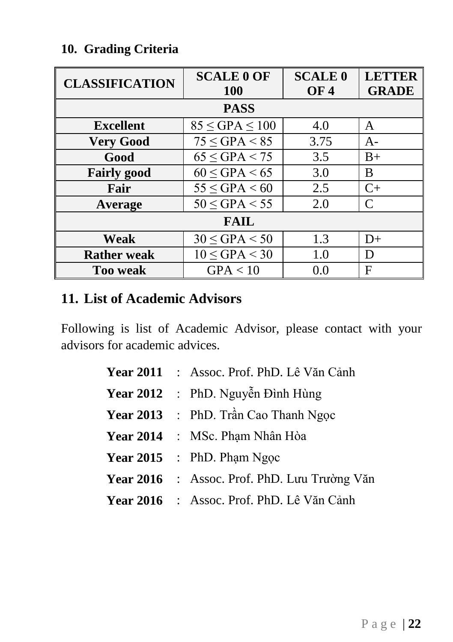# <span id="page-22-0"></span>**10. Grading Criteria**

| <b>CLASSIFICATION</b> | <b>SCALE 0 OF</b>      | <b>SCALE 0</b> | <b>LETTER</b> |
|-----------------------|------------------------|----------------|---------------|
|                       | <b>100</b>             | <b>OF4</b>     | <b>GRADE</b>  |
|                       | <b>PASS</b>            |                |               |
| <b>Excellent</b>      | $85 \leq GPA \leq 100$ | 4.0            | A             |
| <b>Very Good</b>      | $75 \leq GPA < 85$     | 3.75           | $A-$          |
| Good                  | $65 \leq GPA < 75$     | 3.5            | $B+$          |
| <b>Fairly good</b>    | $60 \leq GPA < 65$     | 3.0            | B             |
| Fair                  | $55 \leq GPA < 60$     | 2.5            | $C+$          |
| Average               | $50 \leq GPA < 55$     | 2.0            | C             |
| <b>FAIL</b>           |                        |                |               |
| Weak                  | $30 \leq GPA < 50$     | 1.3            | $D+$          |
| <b>Rather weak</b>    | $10 \leq GPA < 30$     | 1.0            | D             |
| <b>Too weak</b>       | GPA < 10               | 0.0            | F             |

# <span id="page-22-1"></span>**11. List of Academic Advisors**

Following is list of Academic Advisor, please contact with your advisors for academic advices.

|  | Year 2011 : Assoc. Prof. PhD. Lê Văn Cảnh           |
|--|-----------------------------------------------------|
|  | Year 2012 : PhD. Nguyễn Đình Hùng                   |
|  | <b>Year 2013</b> : PhD. Trần Cao Thanh Ngọc         |
|  | <b>Year 2014</b> : MSc. Phạm Nhân Hòa               |
|  | <b>Year 2015</b> : PhD. Pham Ngoc                   |
|  | <b>Year 2016</b> : Assoc. Prof. PhD. Lưu Trường Văn |
|  | <b>Year 2016</b> : Assoc. Prof. PhD. Lê Văn Cảnh    |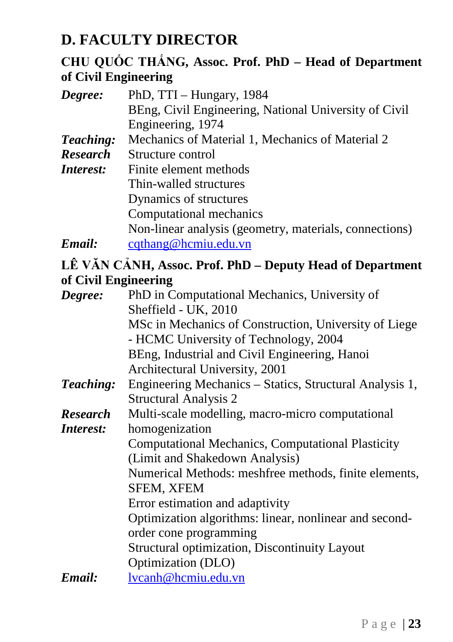# <span id="page-23-0"></span>**D. FACULTY DIRECTOR**

# **CHU QUỐC THẮNG, Assoc. Prof. PhD – Head of Department of Civil Engineering**

| Degree:              | PhD, TTI - Hungary, 1984                                  |
|----------------------|-----------------------------------------------------------|
|                      | BEng, Civil Engineering, National University of Civil     |
|                      | Engineering, 1974                                         |
| Teaching:            | Mechanics of Material 1, Mechanics of Material 2          |
| <b>Research</b>      | Structure control                                         |
| Interest:            | Finite element methods                                    |
|                      | Thin-walled structures                                    |
|                      | Dynamics of structures                                    |
|                      | Computational mechanics                                   |
|                      | Non-linear analysis (geometry, materials, connections)    |
| Email:               | cqthang@hcmiu.edu.vn                                      |
|                      | LÊ VĂN CẢNH, Assoc. Prof. PhD - Deputy Head of Department |
| of Civil Engineering |                                                           |
| Degree:              | PhD in Computational Mechanics, University of             |
|                      | Sheffield - UK, 2010                                      |
|                      | MSc in Mechanics of Construction, University of Liege     |
|                      | - HCMC University of Technology, 2004                     |
|                      | BEng, Industrial and Civil Engineering, Hanoi             |
|                      | Architectural University, 2001                            |
| Teaching:            | Engineering Mechanics - Statics, Structural Analysis 1,   |
|                      | <b>Structural Analysis 2</b>                              |
| <b>Research</b>      | Multi-scale modelling, macro-micro computational          |
| Interest:            | homogenization                                            |
|                      | <b>Computational Mechanics, Computational Plasticity</b>  |
|                      | (Limit and Shakedown Analysis)                            |
|                      | Numerical Methods: meshfree methods, finite elements,     |
|                      | <b>SFEM, XFEM</b>                                         |
|                      | Error estimation and adaptivity                           |
|                      | Optimization algorithms: linear, nonlinear and second-    |
|                      | order cone programming                                    |
|                      | Structural optimization, Discontinuity Layout             |
|                      | Optimization (DLO)                                        |
| Email:               | lvcanh@hcmiu.edu.vn                                       |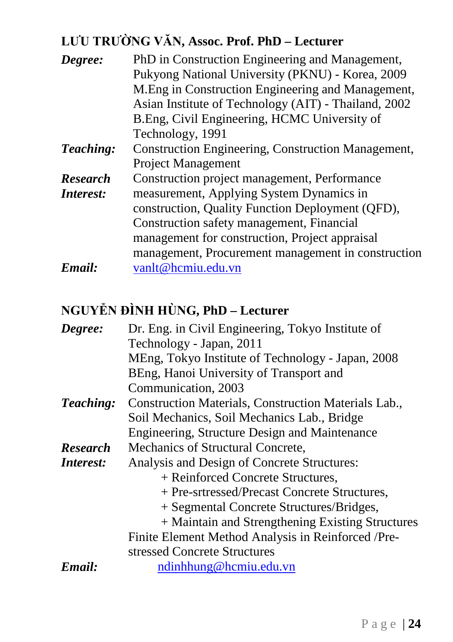# **LƯU TRƯỜNG VĂN, Assoc. Prof. PhD – Lecturer**

| Degree:         | PhD in Construction Engineering and Management,           |
|-----------------|-----------------------------------------------------------|
|                 | Pukyong National University (PKNU) - Korea, 2009          |
|                 | M. Eng in Construction Engineering and Management,        |
|                 | Asian Institute of Technology (AIT) - Thailand, 2002      |
|                 | B.Eng, Civil Engineering, HCMC University of              |
|                 | Technology, 1991                                          |
| Teaching:       | <b>Construction Engineering, Construction Management,</b> |
|                 | <b>Project Management</b>                                 |
| <b>Research</b> | Construction project management, Performance              |
| Interest:       | measurement, Applying System Dynamics in                  |
|                 | construction, Quality Function Deployment (QFD),          |
|                 | Construction safety management, Financial                 |
|                 | management for construction, Project appraisal            |
|                 | management, Procurement management in construction        |
| Email:          | vanlt@hcmiu.edu.vn                                        |

# **NGUYỄN ĐÌNH HÙNG, PhD – Lecturer**

| Degree:         | Dr. Eng. in Civil Engineering, Tokyo Institute of    |
|-----------------|------------------------------------------------------|
|                 | Technology - Japan, 2011                             |
|                 | MEng, Tokyo Institute of Technology - Japan, 2008    |
|                 | BEng, Hanoi University of Transport and              |
|                 | Communication, 2003                                  |
| Teaching:       | Construction Materials, Construction Materials Lab., |
|                 | Soil Mechanics, Soil Mechanics Lab., Bridge          |
|                 | Engineering, Structure Design and Maintenance        |
| <b>Research</b> | Mechanics of Structural Concrete,                    |
| Interest:       | Analysis and Design of Concrete Structures:          |
|                 | + Reinforced Concrete Structures,                    |
|                 | + Pre-srtressed/Precast Concrete Structures,         |
|                 | + Segmental Concrete Structures/Bridges,             |
|                 | + Maintain and Strengthening Existing Structures     |
|                 | Finite Element Method Analysis in Reinforced /Pre-   |
|                 | stressed Concrete Structures                         |
| Email:          | ndinhhung@hcmiu.edu.vn                               |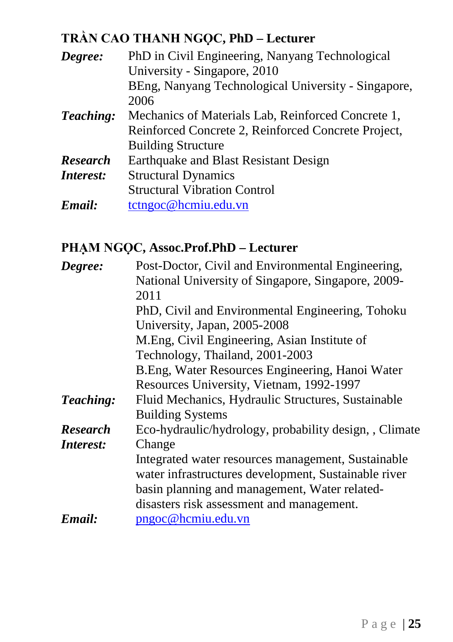# **TRẦN CAO THANH NGỌC, PhD – Lecturer**

| Degree:         | PhD in Civil Engineering, Nanyang Technological     |
|-----------------|-----------------------------------------------------|
|                 | University - Singapore, 2010                        |
|                 | BEng, Nanyang Technological University - Singapore, |
|                 | 2006                                                |
| Teaching:       | Mechanics of Materials Lab, Reinforced Concrete 1,  |
|                 | Reinforced Concrete 2, Reinforced Concrete Project, |
|                 | <b>Building Structure</b>                           |
| <b>Research</b> | Earthquake and Blast Resistant Design               |
| Interest:       | <b>Structural Dynamics</b>                          |
|                 | <b>Structural Vibration Control</b>                 |
| Email:          | tctngoc@hemiu.edu.vn                                |

# **PHẠM NGỌC, Assoc.Prof.PhD – Lecturer**

| Degree:         | Post-Doctor, Civil and Environmental Engineering,      |
|-----------------|--------------------------------------------------------|
|                 | National University of Singapore, Singapore, 2009-     |
|                 | 2011                                                   |
|                 | PhD, Civil and Environmental Engineering, Tohoku       |
|                 | University, Japan, 2005-2008                           |
|                 | M.Eng, Civil Engineering, Asian Institute of           |
|                 | Technology, Thailand, 2001-2003                        |
|                 | B. Eng, Water Resources Engineering, Hanoi Water       |
|                 | Resources University, Vietnam, 1992-1997               |
| Teaching:       | Fluid Mechanics, Hydraulic Structures, Sustainable     |
|                 | <b>Building Systems</b>                                |
| <b>Research</b> | Eco-hydraulic/hydrology, probability design, , Climate |
| Interest:       | Change                                                 |
|                 | Integrated water resources management, Sustainable     |
|                 | water infrastructures development, Sustainable river   |
|                 | basin planning and management, Water related-          |
|                 | disasters risk assessment and management.              |
| Email:          | pngoc@hcmiu.edu.vn                                     |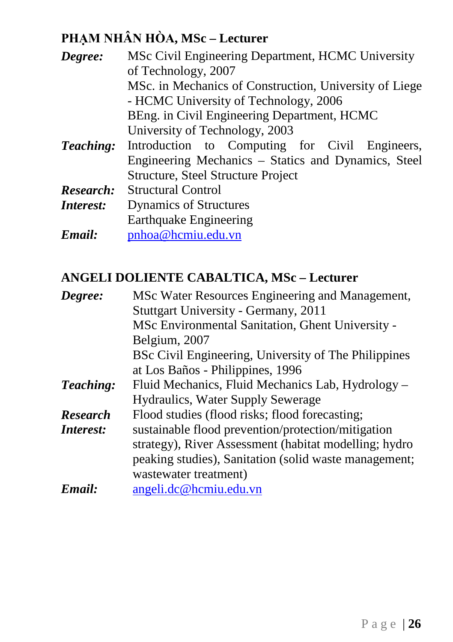# **PHẠM NHÂN HÒA, MSc – Lecturer**

| Degree:          | MSc Civil Engineering Department, HCMC University      |  |  |
|------------------|--------------------------------------------------------|--|--|
|                  | of Technology, 2007                                    |  |  |
|                  | MSc. in Mechanics of Construction, University of Liege |  |  |
|                  | - HCMC University of Technology, 2006                  |  |  |
|                  | BEng. in Civil Engineering Department, HCMC            |  |  |
|                  | University of Technology, 2003                         |  |  |
| Teaching:        | Introduction to Computing for Civil Engineers,         |  |  |
|                  | Engineering Mechanics – Statics and Dynamics, Steel    |  |  |
|                  | Structure, Steel Structure Project                     |  |  |
| Research:        | <b>Structural Control</b>                              |  |  |
| <i>Interest:</i> | <b>Dynamics of Structures</b>                          |  |  |
|                  | Earthquake Engineering                                 |  |  |
| Email:           | pnhoa@hcmiu.edu.vn                                     |  |  |

# **ANGELI DOLIENTE CABALTICA, MSc – Lecturer**

| Degree:         | MSc Water Resources Engineering and Management,       |
|-----------------|-------------------------------------------------------|
|                 | Stuttgart University - Germany, 2011                  |
|                 | MSc Environmental Sanitation, Ghent University -      |
|                 | Belgium, 2007                                         |
|                 | BSc Civil Engineering, University of The Philippines  |
|                 | at Los Baños - Philippines, 1996                      |
| Teaching:       | Fluid Mechanics, Fluid Mechanics Lab, Hydrology -     |
|                 | <b>Hydraulics, Water Supply Sewerage</b>              |
| <b>Research</b> | Flood studies (flood risks; flood forecasting;        |
| Interest:       | sustainable flood prevention/protection/mitigation    |
|                 | strategy), River Assessment (habitat modelling; hydro |
|                 | peaking studies), Sanitation (solid waste management; |
|                 | wastewater treatment)                                 |
| Email:          | angeli.dc@hcmiu.edu.vn                                |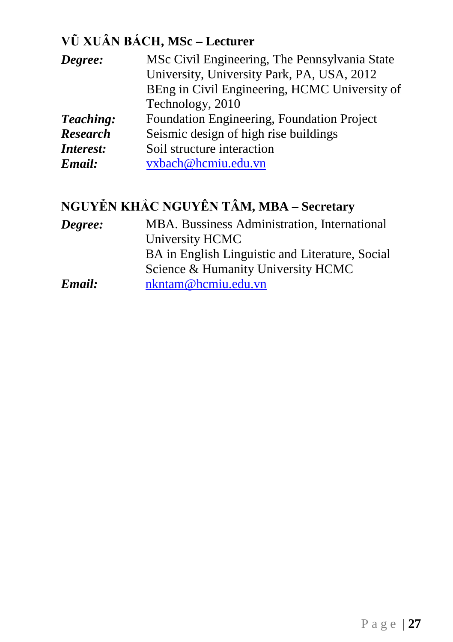# **VŨ XUÂN BÁCH, MSc – Lecturer**

| Degree:         | MSc Civil Engineering, The Pennsylvania State |
|-----------------|-----------------------------------------------|
|                 | University, University Park, PA, USA, 2012    |
|                 | BEng in Civil Engineering, HCMC University of |
|                 | Technology, 2010                              |
| Teaching:       | Foundation Engineering, Foundation Project    |
| <b>Research</b> | Seismic design of high rise buildings         |
| Interest:       | Soil structure interaction                    |
| Email:          | vxbach@hcmiu.edu.vn                           |

# **NGUYỄN KHẮC NGUYÊN TÂM, MBA – Secretary**

| Degree: | MBA. Bussiness Administration, International    |
|---------|-------------------------------------------------|
|         | University HCMC                                 |
|         | BA in English Linguistic and Literature, Social |
|         | Science & Humanity University HCMC              |
| Email:  | nkntam@hcmiu.edu.vn                             |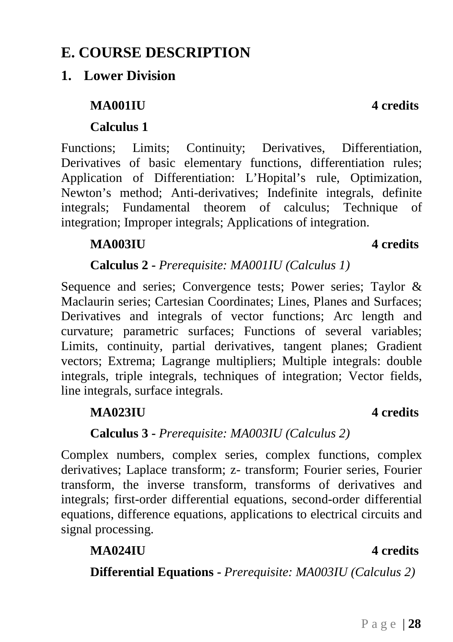# <span id="page-28-0"></span>**E. COURSE DESCRIPTION**

# <span id="page-28-1"></span>**1. Lower Division**

# **MA001IU 4 credits**

# **Calculus 1**

Functions; Limits; Continuity; Derivatives, Differentiation, Derivatives of basic elementary functions, differentiation rules; Application of Differentiation: L'Hopital's rule, Optimization, Newton's method; Anti-derivatives; Indefinite integrals, definite integrals; Fundamental theorem of calculus; Technique of integration; Improper integrals; Applications of integration.

# **MA003IU 4 credits**

# **Calculus 2 -** *Prerequisite: MA001IU (Calculus 1)*

Sequence and series; Convergence tests; Power series; Taylor & Maclaurin series; Cartesian Coordinates; Lines, Planes and Surfaces; Derivatives and integrals of vector functions; Arc length and curvature; parametric surfaces; Functions of several variables; Limits, continuity, partial derivatives, tangent planes; Gradient vectors; Extrema; Lagrange multipliers; Multiple integrals: double integrals, triple integrals, techniques of integration; Vector fields, line integrals, surface integrals.

### **MA023IU 4 credits**

### **Calculus 3 -** *Prerequisite: MA003IU (Calculus 2)*

Complex numbers, complex series, complex functions, complex derivatives; Laplace transform; z- transform; Fourier series, Fourier transform, the inverse transform, transforms of derivatives and integrals; first-order differential equations, second-order differential equations, difference equations, applications to electrical circuits and signal processing.

# **MA024IU 4 credits**

**Differential Equations -** *Prerequisite: MA003IU (Calculus 2)*

### Page | **28**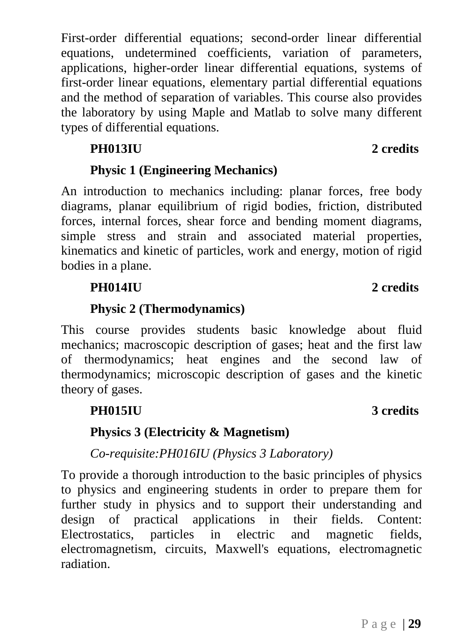First-order differential equations; second-order linear differential equations, undetermined coefficients, variation of parameters, applications, higher-order linear differential equations, systems of first-order linear equations, elementary partial differential equations and the method of separation of variables. This course also provides the laboratory by using Maple and Matlab to solve many different types of differential equations.

# **PH013IU 2 credits**

# **Physic 1 (Engineering Mechanics)**

An introduction to mechanics including: planar forces, free body diagrams, planar equilibrium of rigid bodies, friction, distributed forces, internal forces, shear force and bending moment diagrams, simple stress and strain and associated material properties, kinematics and kinetic of particles, work and energy, motion of rigid bodies in a plane.

# **PH014IU 2 credits**

# **Physic 2 (Thermodynamics)**

This course provides students basic knowledge about fluid mechanics; macroscopic description of gases; heat and the first law of thermodynamics; heat engines and the second law of thermodynamics; microscopic description of gases and the kinetic theory of gases.

# **PH015IU 3 credits**

# **Physics 3 (Electricity & Magnetism)**

*Co-requisite:PH016IU (Physics 3 Laboratory)*

To provide a thorough introduction to the basic principles of physics to physics and engineering students in order to prepare them for further study in physics and to support their understanding and design of practical applications in their fields. Content: Electrostatics, particles in electric and magnetic fields, electromagnetism, circuits, Maxwell's equations, electromagnetic radiation.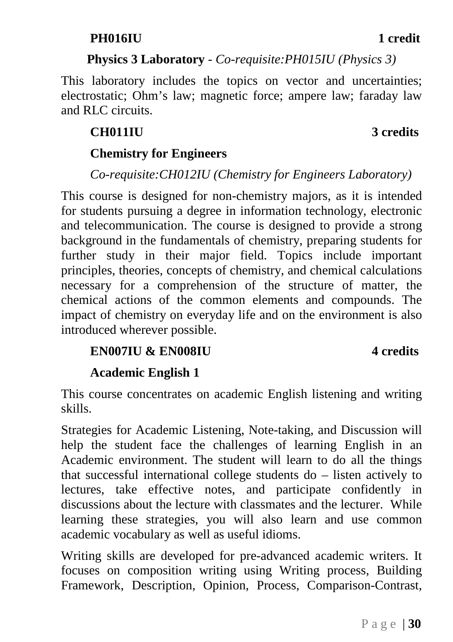# **Physics 3 Laboratory** *- Co-requisite:PH015IU (Physics 3)*

This laboratory includes the topics on vector and uncertainties; electrostatic; Ohm's law; magnetic force; ampere law; faraday law and RLC circuits.

# **CH011IU 3 credits**

# **Chemistry for Engineers**

# *Co-requisite:CH012IU (Chemistry for Engineers Laboratory)*

This course is designed for non-chemistry majors, as it is intended for students pursuing a degree in information technology, electronic and telecommunication. The course is designed to provide a strong background in the fundamentals of chemistry, preparing students for further study in their major field. Topics include important principles, theories, concepts of chemistry, and chemical calculations necessary for a comprehension of the structure of matter, the chemical actions of the common elements and compounds. The impact of chemistry on everyday life and on the environment is also introduced wherever possible.

# **EN007IU & EN008IU 4 credits**

# **Academic English 1**

This course concentrates on academic English listening and writing skills.

Strategies for Academic Listening, Note-taking, and Discussion will help the student face the challenges of learning English in an Academic environment. The student will learn to do all the things that successful international college students do – listen actively to lectures, take effective notes, and participate confidently in discussions about the lecture with classmates and the lecturer. While learning these strategies, you will also learn and use common academic vocabulary as well as useful idioms.

Writing skills are developed for pre-advanced academic writers. It focuses on composition writing using Writing process, Building Framework, Description, Opinion, Process, Comparison-Contrast,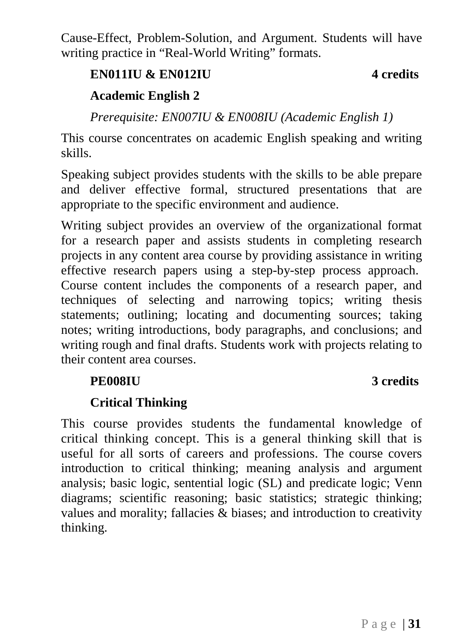Cause-Effect, Problem-Solution, and Argument. Students will have writing practice in "Real-World Writing" formats.

# **EN011IU & EN012IU 4 credits**

# **Academic English 2**

*Prerequisite: EN007IU & EN008IU (Academic English 1)*

This course concentrates on academic English speaking and writing skills.

Speaking subject provides students with the skills to be able prepare and deliver effective formal, structured presentations that are appropriate to the specific environment and audience.

Writing subject provides an overview of the organizational format for a research paper and assists students in completing research projects in any content area course by providing assistance in writing effective research papers using a step-by-step process approach. Course content includes the components of a research paper, and techniques of selecting and narrowing topics; writing thesis statements; outlining; locating and documenting sources; taking notes; writing introductions, body paragraphs, and conclusions; and writing rough and final drafts. Students work with projects relating to their content area courses.

# **PE008IU 3 credits**

# **Critical Thinking**

This course provides students the fundamental knowledge of critical thinking concept. This is a general thinking skill that is useful for all sorts of careers and professions. The course covers introduction to critical thinking; meaning analysis and argument analysis; basic logic, sentential logic (SL) and predicate logic; Venn diagrams; scientific reasoning; basic statistics; strategic thinking; values and morality; fallacies & biases; and introduction to creativity thinking.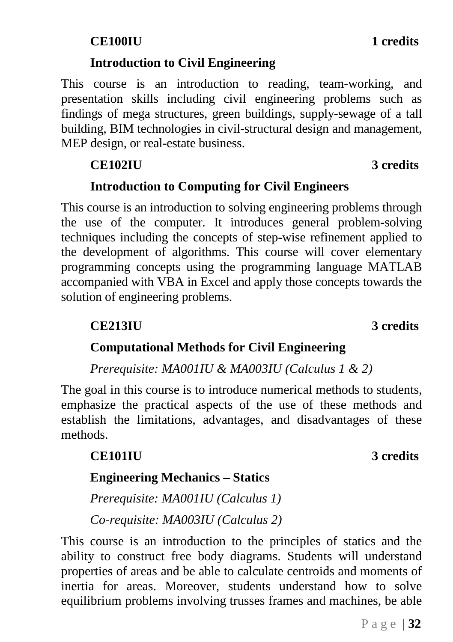# **Introduction to Civil Engineering**

This course is an introduction to reading, team-working, and presentation skills including civil engineering problems such as findings of mega structures, green buildings, supply-sewage of a tall building, BIM technologies in civil-structural design and management, MEP design, or real-estate business.

# **CE102IU 3 credits**

# **Introduction to Computing for Civil Engineers**

This course is an introduction to solving engineering problems through the use of the computer. It introduces general problem-solving techniques including the concepts of step-wise refinement applied to the development of algorithms. This course will cover elementary programming concepts using the programming language MATLAB accompanied with VBA in Excel and apply those concepts towards the solution of engineering problems.

## **CE213IU 3 credits**

# **Computational Methods for Civil Engineering**

*Prerequisite: MA001IU & MA003IU (Calculus 1 & 2)*

The goal in this course is to introduce numerical methods to students, emphasize the practical aspects of the use of these methods and establish the limitations, advantages, and disadvantages of these methods.

# **CE101IU 3 credits**

# **Engineering Mechanics – Statics**

*Prerequisite: MA001IU (Calculus 1) Co-requisite: MA003IU (Calculus 2)*

This course is an introduction to the principles of statics and the ability to construct free body diagrams. Students will understand properties of areas and be able to calculate centroids and moments of inertia for areas. Moreover, students understand how to solve equilibrium problems involving trusses frames and machines, be able

Page | **32**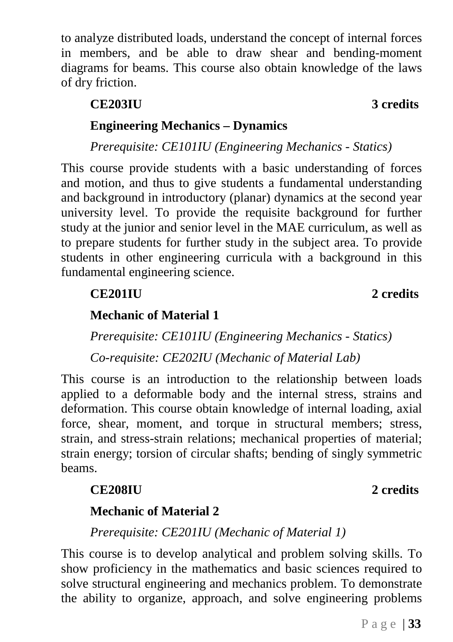to analyze distributed loads, understand the concept of internal forces in members, and be able to draw shear and bending-moment diagrams for beams. This course also obtain knowledge of the laws of dry friction.

# **Engineering Mechanics – Dynamics**

*Prerequisite: CE101IU (Engineering Mechanics - Statics)*

This course provide students with a basic understanding of forces and motion, and thus to give students a fundamental understanding and background in introductory (planar) dynamics at the second year university level. To provide the requisite background for further study at the junior and senior level in the MAE curriculum, as well as to prepare students for further study in the subject area. To provide students in other engineering curricula with a background in this fundamental engineering science.

**CE201IU 2 credits**

# **Mechanic of Material 1**

*Prerequisite: CE101IU (Engineering Mechanics - Statics) Co-requisite: CE202IU (Mechanic of Material Lab)*

This course is an introduction to the relationship between loads applied to a deformable body and the internal stress, strains and deformation. This course obtain knowledge of internal loading, axial force, shear, moment, and torque in structural members; stress, strain, and stress-strain relations; mechanical properties of material; strain energy; torsion of circular shafts; bending of singly symmetric beams.

# **CE208IU 2 credits**

# **Mechanic of Material 2**

*Prerequisite: CE201IU (Mechanic of Material 1)*

This course is to develop analytical and problem solving skills. To show proficiency in the mathematics and basic sciences required to solve structural engineering and mechanics problem. To demonstrate the ability to organize, approach, and solve engineering problems

### **CE203IU 3 credits**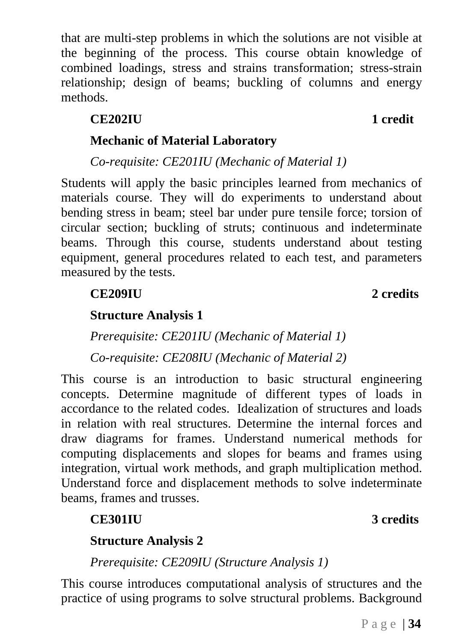Page | **34**

that are multi-step problems in which the solutions are not visible at the beginning of the process. This course obtain knowledge of combined loadings, stress and strains transformation; stress-strain relationship; design of beams; buckling of columns and energy methods.

# **CE202IU 1 credit**

# **Mechanic of Material Laboratory**

*Co-requisite: CE201IU (Mechanic of Material 1)*

Students will apply the basic principles learned from mechanics of materials course. They will do experiments to understand about bending stress in beam; steel bar under pure tensile force; torsion of circular section; buckling of struts; continuous and indeterminate beams. Through this course, students understand about testing equipment, general procedures related to each test, and parameters measured by the tests.

**CE209IU 2 credits**

**Structure Analysis 1**

*Prerequisite: CE201IU (Mechanic of Material 1)*

*Co-requisite: CE208IU (Mechanic of Material 2)*

This course is an introduction to basic structural engineering concepts. Determine magnitude of different types of loads in accordance to the related codes. Idealization of structures and loads in relation with real structures. Determine the internal forces and draw diagrams for frames. Understand numerical methods for computing displacements and slopes for beams and frames using integration, virtual work methods, and graph multiplication method. Understand force and displacement methods to solve indeterminate beams, frames and trusses.

# **Structure Analysis 2**

*Prerequisite: CE209IU (Structure Analysis 1)*

This course introduces computational analysis of structures and the practice of using programs to solve structural problems. Background

### **CE301IU 3 credits**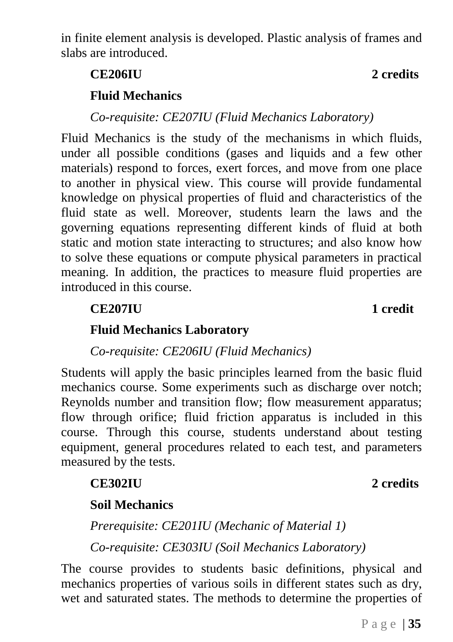in finite element analysis is developed. Plastic analysis of frames and slabs are introduced.

# **CE206IU 2 credits**

### **Fluid Mechanics**

*Co-requisite: CE207IU (Fluid Mechanics Laboratory)*

Fluid Mechanics is the study of the mechanisms in which fluids, under all possible conditions (gases and liquids and a few other materials) respond to forces, exert forces, and move from one place to another in physical view. This course will provide fundamental knowledge on physical properties of fluid and characteristics of the fluid state as well. Moreover, students learn the laws and the governing equations representing different kinds of fluid at both static and motion state interacting to structures; and also know how to solve these equations or compute physical parameters in practical meaning. In addition, the practices to measure fluid properties are introduced in this course.

### **Fluid Mechanics Laboratory**

*Co-requisite: CE206IU (Fluid Mechanics)*

Students will apply the basic principles learned from the basic fluid mechanics course. Some experiments such as discharge over notch; Reynolds number and transition flow; flow measurement apparatus; flow through orifice; fluid friction apparatus is included in this course. Through this course, students understand about testing equipment, general procedures related to each test, and parameters measured by the tests.

### **CE302IU 2 credits**

### **Soil Mechanics**

*Prerequisite: CE201IU (Mechanic of Material 1) Co-requisite: CE303IU (Soil Mechanics Laboratory)*

The course provides to students basic definitions, physical and mechanics properties of various soils in different states such as dry, wet and saturated states. The methods to determine the properties of

### **CE207IU 1 credit**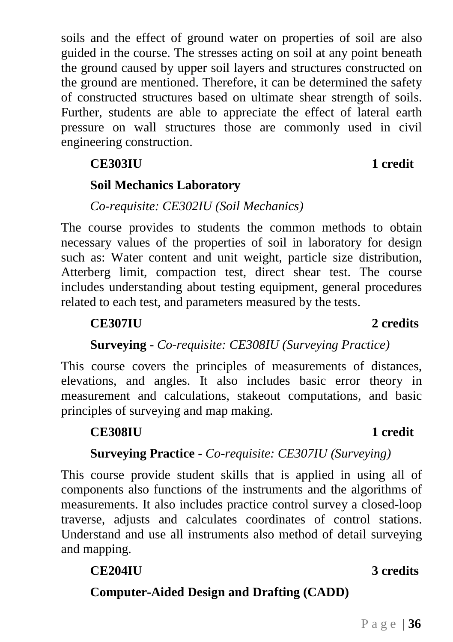soils and the effect of ground water on properties of soil are also guided in the course. The stresses acting on soil at any point beneath the ground caused by upper soil layers and structures constructed on the ground are mentioned. Therefore, it can be determined the safety of constructed structures based on ultimate shear strength of soils. Further, students are able to appreciate the effect of lateral earth pressure on wall structures those are commonly used in civil engineering construction.

# **CE303IU 1 credit**

# **Soil Mechanics Laboratory**

### *Co-requisite: CE302IU (Soil Mechanics)*

The course provides to students the common methods to obtain necessary values of the properties of soil in laboratory for design such as: Water content and unit weight, particle size distribution, Atterberg limit, compaction test, direct shear test. The course includes understanding about testing equipment, general procedures related to each test, and parameters measured by the tests.

# **CE307IU 2 credits**

# **Surveying -** *Co-requisite: CE308IU (Surveying Practice)*

This course covers the principles of measurements of distances, elevations, and angles. It also includes basic error theory in measurement and calculations, stakeout computations, and basic principles of surveying and map making.

### **CE308IU 1 credit**

# **Surveying Practice -** *Co-requisite: CE307IU (Surveying)*

This course provide student skills that is applied in using all of components also functions of the instruments and the algorithms of measurements. It also includes practice control survey a closed-loop traverse, adjusts and calculates coordinates of control stations. Understand and use all instruments also method of detail surveying and mapping.

### **CE204IU 3 credits**

**Computer-Aided Design and Drafting (CADD)**

### Page | **36**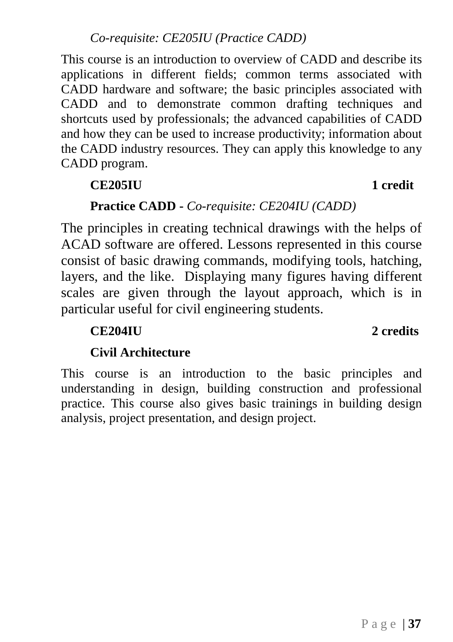This course is an introduction to overview of CADD and describe its applications in different fields; common terms associated with CADD hardware and software; the basic principles associated with CADD and to demonstrate common drafting techniques and shortcuts used by professionals; the advanced capabilities of CADD and how they can be used to increase productivity; information about the CADD industry resources. They can apply this knowledge to any CADD program.

# **CE205IU 1 credit**

# **Practice CADD -** *Co-requisite: CE204IU (CADD)*

The principles in creating technical drawings with the helps of ACAD software are offered. Lessons represented in this course consist of basic drawing commands, modifying tools, hatching, layers, and the like. Displaying many figures having different scales are given through the layout approach, which is in particular useful for civil engineering students.

# **CE204IU 2 credits**

# **Civil Architecture**

This course is an introduction to the basic principles and understanding in design, building construction and professional practice. This course also gives basic trainings in building design analysis, project presentation, and design project.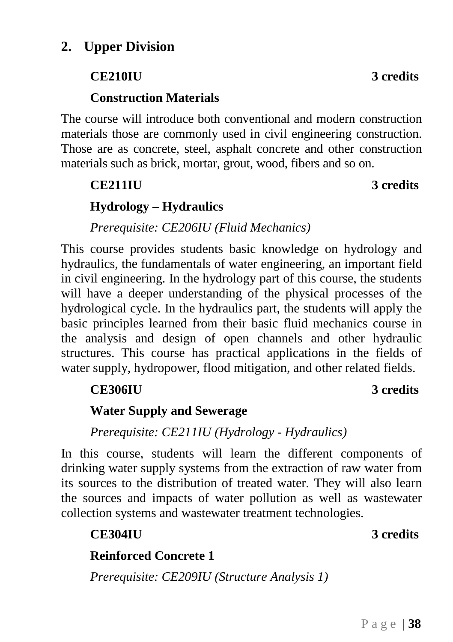# <span id="page-38-0"></span>**CE210IU 3 credits**

# **Construction Materials**

The course will introduce both conventional and modern construction materials those are commonly used in civil engineering construction. Those are as concrete, steel, asphalt concrete and other construction materials such as brick, mortar, grout, wood, fibers and so on.

# **CE211IU 3 credits**

# **Hydrology – Hydraulics**

*Prerequisite: CE206IU (Fluid Mechanics)*

This course provides students basic knowledge on hydrology and hydraulics, the fundamentals of water engineering, an important field in civil engineering. In the hydrology part of this course, the students will have a deeper understanding of the physical processes of the hydrological cycle. In the hydraulics part, the students will apply the basic principles learned from their basic fluid mechanics course in the analysis and design of open channels and other hydraulic structures. This course has practical applications in the fields of water supply, hydropower, flood mitigation, and other related fields.

# **CE306IU 3 credits**

# **Water Supply and Sewerage**

*Prerequisite: CE211IU (Hydrology - Hydraulics)*

In this course, students will learn the different components of drinking water supply systems from the extraction of raw water from its sources to the distribution of treated water. They will also learn the sources and impacts of water pollution as well as wastewater collection systems and wastewater treatment technologies.

# **Reinforced Concrete 1**

*Prerequisite: CE209IU (Structure Analysis 1)*

# **CE304IU 3 credits**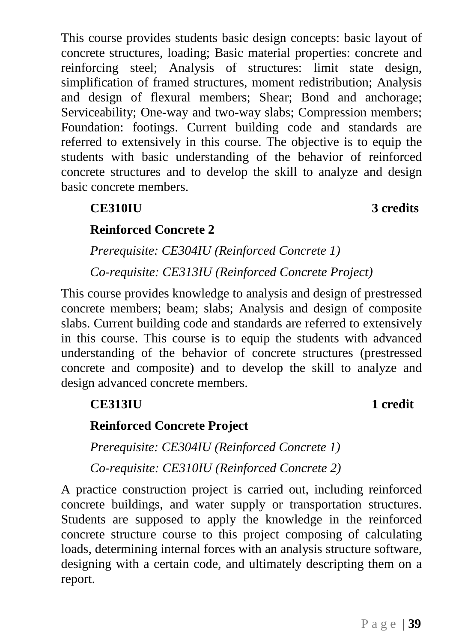This course provides students basic design concepts: basic layout of concrete structures, loading; Basic material properties: concrete and reinforcing steel; Analysis of structures: limit state design, simplification of framed structures, moment redistribution; Analysis and design of flexural members; Shear; Bond and anchorage; Serviceability; One-way and two-way slabs; Compression members; Foundation: footings. Current building code and standards are referred to extensively in this course. The objective is to equip the students with basic understanding of the behavior of reinforced concrete structures and to develop the skill to analyze and design basic concrete members.

# **CE310IU 3 credits**

# **Reinforced Concrete 2**

*Prerequisite: CE304IU (Reinforced Concrete 1)*

*Co-requisite: CE313IU (Reinforced Concrete Project)*

This course provides knowledge to analysis and design of prestressed concrete members; beam; slabs; Analysis and design of composite slabs. Current building code and standards are referred to extensively in this course. This course is to equip the students with advanced understanding of the behavior of concrete structures (prestressed concrete and composite) and to develop the skill to analyze and design advanced concrete members.

# **CE313IU 1 credit**

# **Reinforced Concrete Project**

*Prerequisite: CE304IU (Reinforced Concrete 1)*

*Co-requisite: CE310IU (Reinforced Concrete 2)*

A practice construction project is carried out, including reinforced concrete buildings, and water supply or transportation structures. Students are supposed to apply the knowledge in the reinforced concrete structure course to this project composing of calculating loads, determining internal forces with an analysis structure software, designing with a certain code, and ultimately descripting them on a report.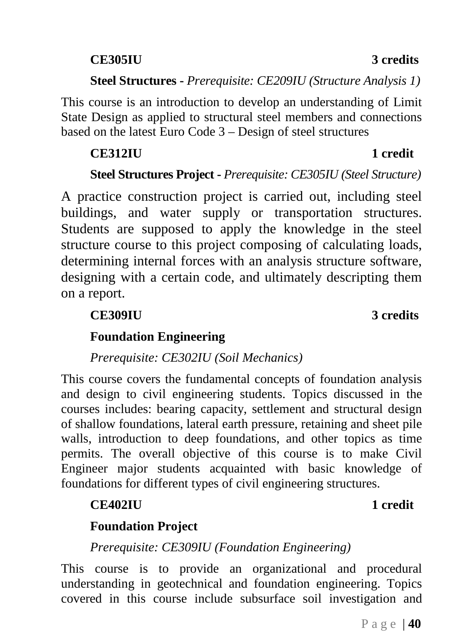# **CE305IU 3 credits**

# **CE312IU 1 credit**

# **Steel Structures Project -** *Prerequisite: CE305IU (Steel Structure)*

**Steel Structures -** *Prerequisite: CE209IU (Structure Analysis 1)*

This course is an introduction to develop an understanding of Limit State Design as applied to structural steel members and connections

based on the latest Euro Code 3 – Design of steel structures

A practice construction project is carried out, including steel buildings, and water supply or transportation structures. Students are supposed to apply the knowledge in the steel structure course to this project composing of calculating loads, determining internal forces with an analysis structure software, designing with a certain code, and ultimately descripting them on a report.

# **CE309IU 3 credits**

# **Foundation Engineering**

### *Prerequisite: CE302IU (Soil Mechanics)*

This course covers the fundamental concepts of foundation analysis and design to civil engineering students. Topics discussed in the courses includes: bearing capacity, settlement and structural design of shallow foundations, lateral earth pressure, retaining and sheet pile walls, introduction to deep foundations, and other topics as time permits. The overall objective of this course is to make Civil Engineer major students acquainted with basic knowledge of foundations for different types of civil engineering structures.

## **CE402IU 1 credit**

### **Foundation Project**

### *Prerequisite: CE309IU (Foundation Engineering)*

This course is to provide an organizational and procedural understanding in geotechnical and foundation engineering. Topics covered in this course include subsurface soil investigation and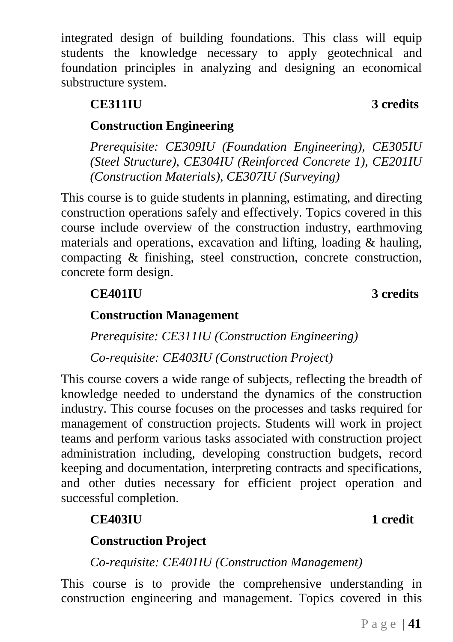integrated design of building foundations. This class will equip students the knowledge necessary to apply geotechnical and foundation principles in analyzing and designing an economical substructure system.

# **CE311IU 3 credits**

# **Construction Engineering**

*Prerequisite: CE309IU (Foundation Engineering), CE305IU (Steel Structure), CE304IU (Reinforced Concrete 1), CE201IU (Construction Materials), CE307IU (Surveying)*

This course is to guide students in planning, estimating, and directing construction operations safely and effectively. Topics covered in this course include overview of the construction industry, earthmoving materials and operations, excavation and lifting, loading & hauling, compacting & finishing, steel construction, concrete construction, concrete form design.

# **Construction Management**

*Prerequisite: CE311IU (Construction Engineering) Co-requisite: CE403IU (Construction Project)*

This course covers a wide range of subjects, reflecting the breadth of knowledge needed to understand the dynamics of the construction industry. This course focuses on the processes and tasks required for management of construction projects. Students will work in project teams and perform various tasks associated with construction project administration including, developing construction budgets, record keeping and documentation, interpreting contracts and specifications, and other duties necessary for efficient project operation and successful completion.

# **CE403IU 1 credit**

# **Construction Project**

*Co-requisite: CE401IU (Construction Management)*

This course is to provide the comprehensive understanding in construction engineering and management. Topics covered in this

**CE401IU 3 credits**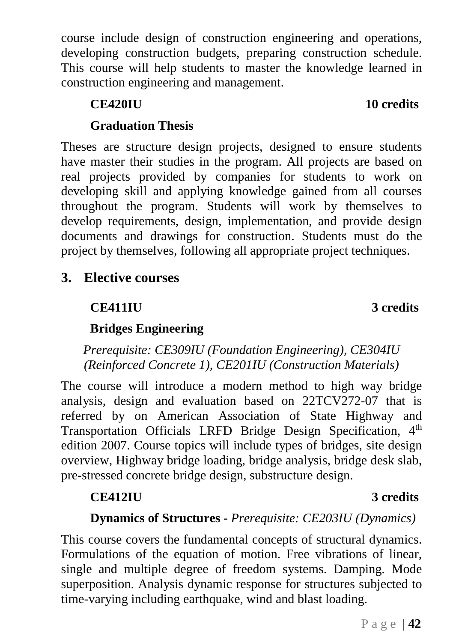Page | **42**

course include design of construction engineering and operations, developing construction budgets, preparing construction schedule. This course will help students to master the knowledge learned in construction engineering and management.

# **Graduation Thesis**

Theses are structure design projects, designed to ensure students have master their studies in the program. All projects are based on real projects provided by companies for students to work on developing skill and applying knowledge gained from all courses throughout the program. Students will work by themselves to develop requirements, design, implementation, and provide design documents and drawings for construction. Students must do the project by themselves, following all appropriate project techniques.

# <span id="page-42-0"></span>**3. Elective courses**

# **CE411IU 3 credits**

# **Bridges Engineering**

*Prerequisite: CE309IU (Foundation Engineering), CE304IU (Reinforced Concrete 1), CE201IU (Construction Materials)*

The course will introduce a modern method to high way bridge analysis, design and evaluation based on 22TCV272-07 that is referred by on American Association of State Highway and Transportation Officials LRFD Bridge Design Specification, 4<sup>th</sup> edition 2007. Course topics will include types of bridges, site design overview, Highway bridge loading, bridge analysis, bridge desk slab, pre-stressed concrete bridge design, substructure design.

# **CE412IU 3 credits**

# **Dynamics of Structures -** *Prerequisite: CE203IU (Dynamics)*

This course covers the fundamental concepts of structural dynamics. Formulations of the equation of motion. Free vibrations of linear, single and multiple degree of freedom systems. Damping. Mode superposition. Analysis dynamic response for structures subjected to time-varying including earthquake, wind and blast loading.

## **CE420IU 10 credits**